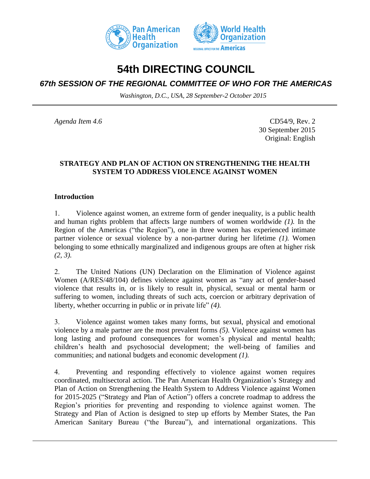



# **54th DIRECTING COUNCIL**

## *67th SESSION OF THE REGIONAL COMMITTEE OF WHO FOR THE AMERICAS*

*Washington, D.C., USA, 28 September-2 October 2015*

*Agenda Item 4.6* CD54/9, Rev. 2 30 September 2015 Original: English

### **STRATEGY AND PLAN OF ACTION ON STRENGTHENING THE HEALTH SYSTEM TO ADDRESS VIOLENCE AGAINST WOMEN**

#### **Introduction**

1. Violence against women, an extreme form of gender inequality, is a public health and human rights problem that affects large numbers of women worldwide *(1).* In the Region of the Americas ("the Region"), one in three women has experienced intimate partner violence or sexual violence by a non-partner during her lifetime *(1).* Women belonging to some ethnically marginalized and indigenous groups are often at higher risk *(2, 3).*

2. The United Nations (UN) Declaration on the Elimination of Violence against Women (A/RES/48/104) defines violence against women as "any act of gender-based violence that results in, or is likely to result in, physical, sexual or mental harm or suffering to women, including threats of such acts, coercion or arbitrary deprivation of liberty, whether occurring in public or in private life" *(4).*

3. Violence against women takes many forms, but sexual, physical and emotional violence by a male partner are the most prevalent forms *(5)*. Violence against women has long lasting and profound consequences for women's physical and mental health; children's health and psychosocial development; the well-being of families and communities; and national budgets and economic development *(1).*

4. Preventing and responding effectively to violence against women requires coordinated, multisectoral action. The Pan American Health Organization's Strategy and Plan of Action on Strengthening the Health System to Address Violence against Women for 2015-2025 ("Strategy and Plan of Action") offers a concrete roadmap to address the Region's priorities for preventing and responding to violence against women. The Strategy and Plan of Action is designed to step up efforts by Member States, the Pan American Sanitary Bureau ("the Bureau"), and international organizations. This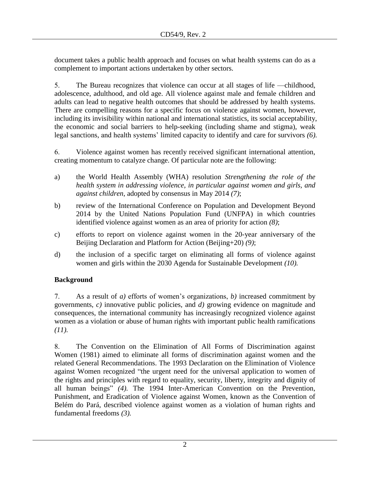document takes a public health approach and focuses on what health systems can do as a complement to important actions undertaken by other sectors.

5. The Bureau recognizes that violence can occur at all stages of life —childhood, adolescence, adulthood, and old age. All violence against male and female children and adults can lead to negative health outcomes that should be addressed by health systems. There are compelling reasons for a specific focus on violence against women, however, including its invisibility within national and international statistics, its social acceptability, the economic and social barriers to help-seeking (including shame and stigma), weak legal sanctions, and health systems' limited capacity to identify and care for survivors *(6).*

6. Violence against women has recently received significant international attention, creating momentum to catalyze change. Of particular note are the following:

- a) the World Health Assembly (WHA) resolution *Strengthening the role of the health system in addressing violence, in particular against women and girls, and against children*, adopted by consensus in May 2014 *(7)*;
- b) review of the International Conference on Population and Development Beyond 2014 by the United Nations Population Fund (UNFPA) in which countries identified violence against women as an area of priority for action *(8)*;
- c) efforts to report on violence against women in the 20-year anniversary of the Beijing Declaration and Platform for Action (Beijing+20) *(9)*;
- d) the inclusion of a specific target on eliminating all forms of violence against women and girls within the 2030 Agenda for Sustainable Development *(10).*

## **Background**

7. As a result of *a)* efforts of women's organizations, *b)* increased commitment by governments, *c)* innovative public policies, and *d)* growing evidence on magnitude and consequences, the international community has increasingly recognized violence against women as a violation or abuse of human rights with important public health ramifications *(11).*

8. The Convention on the Elimination of All Forms of Discrimination against Women (1981) aimed to eliminate all forms of discrimination against women and the related General Recommendations. The 1993 Declaration on the Elimination of Violence against Women recognized "the urgent need for the universal application to women of the rights and principles with regard to equality, security, liberty, integrity and dignity of all human beings" *(4).* The 1994 Inter-American Convention on the Prevention, Punishment, and Eradication of Violence against Women, known as the Convention of Belém do Pará, described violence against women as a violation of human rights and fundamental freedoms *(3).*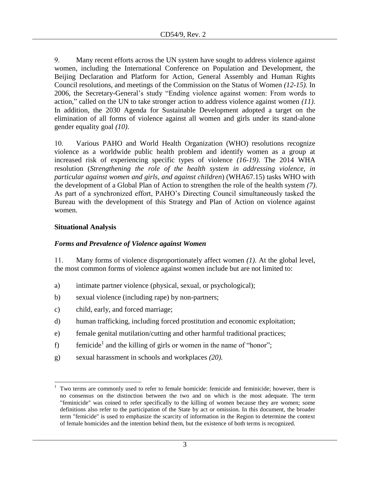9. Many recent efforts across the UN system have sought to address violence against women, including the International Conference on Population and Development, the Beijing Declaration and Platform for Action, General Assembly and Human Rights Council resolutions, and meetings of the Commission on the Status of Women *(12-15).* In 2006, the Secretary-General's study "Ending violence against women: From words to action," called on the UN to take stronger action to address violence against women *(11)*. In addition, the 2030 Agenda for Sustainable Development adopted a target on the elimination of all forms of violence against all women and girls under its stand-alone gender equality goal *(10)*.

10. Various PAHO and World Health Organization (WHO) resolutions recognize violence as a worldwide public health problem and identify women as a group at increased risk of experiencing specific types of violence *(16-19)*. The 2014 WHA resolution (*Strengthening the role of the health system in addressing violence, in particular against women and girls, and against children*) (WHA67.15) tasks WHO with the development of a Global Plan of Action to strengthen the role of the health system *(7)*. As part of a synchronized effort, PAHO's Directing Council simultaneously tasked the Bureau with the development of this Strategy and Plan of Action on violence against women.

## **Situational Analysis**

## *Forms and Prevalence of Violence against Women*

11. Many forms of violence disproportionately affect women *(1)*. At the global level, the most common forms of violence against women include but are not limited to:

- a) intimate partner violence (physical, sexual, or psychological);
- b) sexual violence (including rape) by non-partners;
- c) child, early, and forced marriage;
- d) human trafficking, including forced prostitution and economic exploitation;
- e) female genital mutilation/cutting and other harmful traditional practices;
- f) femicide<sup>1</sup> and the killing of girls or women in the name of "honor";
- g) sexual harassment in schools and workplaces *(20).*

l <sup>1</sup> Two terms are commonly used to refer to female homicide: femicide and feminicide; however, there is no consensus on the distinction between the two and on which is the most adequate. The term "feminicide" was coined to refer specifically to the killing of women because they are women; some definitions also refer to the participation of the State by act or omission. In this document, the broader term "femicide" is used to emphasize the scarcity of information in the Region to determine the context of female homicides and the intention behind them, but the existence of both terms is recognized.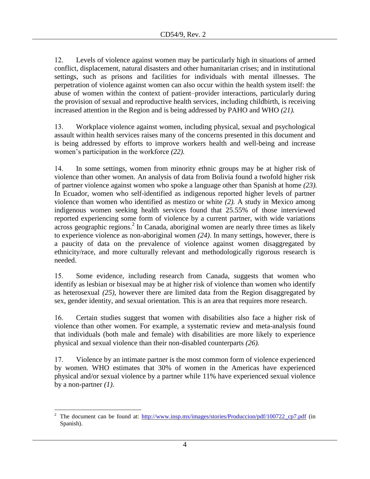12. Levels of violence against women may be particularly high in situations of armed conflict, displacement, natural disasters and other humanitarian crises; and in institutional settings, such as prisons and facilities for individuals with mental illnesses. The perpetration of violence against women can also occur within the health system itself: the abuse of women within the context of patient–provider interactions, particularly during the provision of sexual and reproductive health services, including childbirth, is receiving increased attention in the Region and is being addressed by PAHO and WHO *(21).*

13. Workplace violence against women, including physical, sexual and psychological assault within health services raises many of the concerns presented in this document and is being addressed by efforts to improve workers health and well-being and increase women's participation in the workforce *(22).*

14. In some settings, women from minority ethnic groups may be at higher risk of violence than other women. An analysis of data from Bolivia found a twofold higher risk of partner violence against women who spoke a language other than Spanish at home *(23).* In Ecuador, women who self-identified as indigenous reported higher levels of partner violence than women who identified as mestizo or white *(2).* A study in Mexico among indigenous women seeking health services found that 25.55% of those interviewed reported experiencing some form of violence by a current partner, with wide variations across geographic regions.<sup>2</sup> In Canada, aboriginal women are nearly three times as likely to experience violence as non-aboriginal women *(24)*. In many settings, however, there is a paucity of data on the prevalence of violence against women disaggregated by ethnicity/race, and more culturally relevant and methodologically rigorous research is needed.

15. Some evidence, including research from Canada, suggests that women who identify as lesbian or bisexual may be at higher risk of violence than women who identify as heterosexual *(25)*, however there are limited data from the Region disaggregated by sex, gender identity, and sexual orientation. This is an area that requires more research.

16. Certain studies suggest that women with disabilities also face a higher risk of violence than other women. For example, a systematic review and meta-analysis found that individuals (both male and female) with disabilities are more likely to experience physical and sexual violence than their non-disabled counterparts *(26).*

17. Violence by an intimate partner is the most common form of violence experienced by women. WHO estimates that 30% of women in the Americas have experienced physical and/or sexual violence by a partner while 11% have experienced sexual violence by a non-partner *(1)*.

 $\overline{\phantom{a}}$ <sup>2</sup> The document can be found at: [http://www.insp.mx/images/stories/Produccion/pdf/100722\\_cp7.pdf](http://www.insp.mx/images/stories/Produccion/pdf/100722_cp7.pdf) (in Spanish).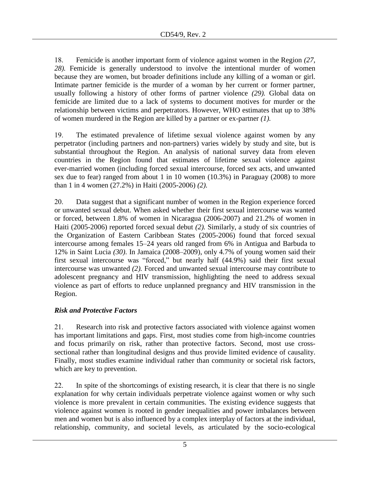18. Femicide is another important form of violence against women in the Region *(27, 28).* Femicide is generally understood to involve the intentional murder of women because they are women, but broader definitions include any killing of a woman or girl. Intimate partner femicide is the murder of a woman by her current or former partner, usually following a history of other forms of partner violence *(29).* Global data on femicide are limited due to a lack of systems to document motives for murder or the relationship between victims and perpetrators. However, WHO estimates that up to 38% of women murdered in the Region are killed by a partner or ex-partner *(1).*

19. The estimated prevalence of lifetime sexual violence against women by any perpetrator (including partners and non-partners) varies widely by study and site, but is substantial throughout the Region. An analysis of national survey data from eleven countries in the Region found that estimates of lifetime sexual violence against ever-married women (including forced sexual intercourse, forced sex acts, and unwanted sex due to fear) ranged from about 1 in 10 women (10.3%) in Paraguay (2008) to more than 1 in 4 women (27.2%) in Haiti (2005-2006) *(2).*

20. Data suggest that a significant number of women in the Region experience forced or unwanted sexual debut. When asked whether their first sexual intercourse was wanted or forced, between 1.8% of women in Nicaragua (2006-2007) and 21.2% of women in Haiti (2005-2006) reported forced sexual debut *(2).* Similarly, a study of six countries of the Organization of Eastern Caribbean States (2005-2006) found that forced sexual intercourse among females 15–24 years old ranged from 6% in Antigua and Barbuda to 12% in Saint Lucia *(30)*. In Jamaica (2008–2009), only 4.7% of young women said their first sexual intercourse was "forced," but nearly half (44.9%) said their first sexual intercourse was unwanted *(2).* Forced and unwanted sexual intercourse may contribute to adolescent pregnancy and HIV transmission, highlighting the need to address sexual violence as part of efforts to reduce unplanned pregnancy and HIV transmission in the Region.

## *Risk and Protective Factors*

21. Research into risk and protective factors associated with violence against women has important limitations and gaps. First, most studies come from high-income countries and focus primarily on risk, rather than protective factors. Second, most use crosssectional rather than longitudinal designs and thus provide limited evidence of causality. Finally, most studies examine individual rather than community or societal risk factors, which are key to prevention.

22. In spite of the shortcomings of existing research, it is clear that there is no single explanation for why certain individuals perpetrate violence against women or why such violence is more prevalent in certain communities. The existing evidence suggests that violence against women is rooted in gender inequalities and power imbalances between men and women but is also influenced by a complex interplay of factors at the individual, relationship, community, and societal levels, as articulated by the socio-ecological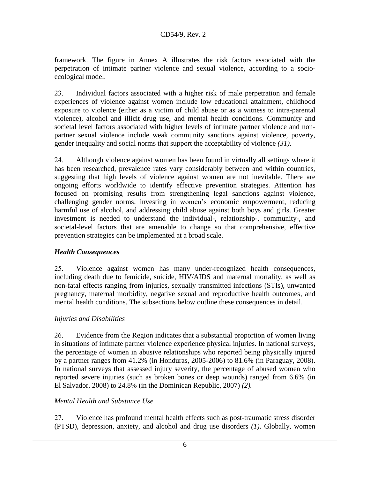framework. The figure in Annex A illustrates the risk factors associated with the perpetration of intimate partner violence and sexual violence, according to a socioecological model.

23. Individual factors associated with a higher risk of male perpetration and female experiences of violence against women include low educational attainment, childhood exposure to violence (either as a victim of child abuse or as a witness to intra-parental violence), alcohol and illicit drug use, and mental health conditions. Community and societal level factors associated with higher levels of intimate partner violence and nonpartner sexual violence include weak community sanctions against violence, poverty, gender inequality and social norms that support the acceptability of violence *(31)*.

24. Although violence against women has been found in virtually all settings where it has been researched, prevalence rates vary considerably between and within countries, suggesting that high levels of violence against women are not inevitable. There are ongoing efforts worldwide to identify effective prevention strategies. Attention has focused on promising results from strengthening legal sanctions against violence, challenging gender norms, investing in women's economic empowerment, reducing harmful use of alcohol, and addressing child abuse against both boys and girls. Greater investment is needed to understand the individual-, relationship-, community-, and societal-level factors that are amenable to change so that comprehensive, effective prevention strategies can be implemented at a broad scale.

## *Health Consequences*

25. Violence against women has many under-recognized health consequences, including death due to femicide, suicide, HIV/AIDS and maternal mortality, as well as non-fatal effects ranging from injuries, sexually transmitted infections (STIs), unwanted pregnancy, maternal morbidity, negative sexual and reproductive health outcomes, and mental health conditions. The subsections below outline these consequences in detail.

## *Injuries and Disabilities*

26. Evidence from the Region indicates that a substantial proportion of women living in situations of intimate partner violence experience physical injuries. In national surveys, the percentage of women in abusive relationships who reported being physically injured by a partner ranges from 41.2% (in Honduras, 2005-2006) to 81.6% (in Paraguay, 2008). In national surveys that assessed injury severity, the percentage of abused women who reported severe injuries (such as broken bones or deep wounds) ranged from 6.6% (in El Salvador, 2008) to 24.8% (in the Dominican Republic, 2007) *(2).*

## *Mental Health and Substance Use*

27. Violence has profound mental health effects such as post-traumatic stress disorder (PTSD), depression, anxiety, and alcohol and drug use disorders *(1)*. Globally, women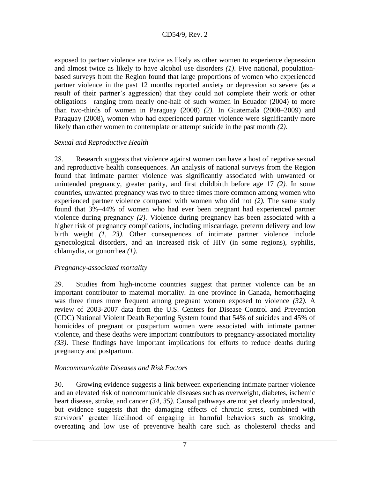exposed to partner violence are twice as likely as other women to experience depression and almost twice as likely to have alcohol use disorders *(1)*. Five national, populationbased surveys from the Region found that large proportions of women who experienced partner violence in the past 12 months reported anxiety or depression so severe (as a result of their partner's aggression) that they could not complete their work or other obligations—ranging from nearly one-half of such women in Ecuador (2004) to more than two-thirds of women in Paraguay (2008) *(2).* In Guatemala (2008–2009) and Paraguay (2008), women who had experienced partner violence were significantly more likely than other women to contemplate or attempt suicide in the past month *(2)*.

### *Sexual and Reproductive Health*

28. Research suggests that violence against women can have a host of negative sexual and reproductive health consequences. An analysis of national surveys from the Region found that intimate partner violence was significantly associated with unwanted or unintended pregnancy, greater parity, and first childbirth before age 17 *(2).* In some countries, unwanted pregnancy was two to three times more common among women who experienced partner violence compared with women who did not *(2).* The same study found that 3%–44% of women who had ever been pregnant had experienced partner violence during pregnancy *(2)*. Violence during pregnancy has been associated with a higher risk of pregnancy complications, including miscarriage, preterm delivery and low birth weight *(1, 23)*. Other consequences of intimate partner violence include gynecological disorders, and an increased risk of HIV (in some regions), syphilis, chlamydia, or gonorrhea *(1).*

## *Pregnancy-associated mortality*

29. Studies from high-income countries suggest that partner violence can be an important contributor to maternal mortality. In one province in Canada, hemorrhaging was three times more frequent among pregnant women exposed to violence *(32).* A review of 2003-2007 data from the U.S. Centers for Disease Control and Prevention (CDC) National Violent Death Reporting System found that 54% of suicides and 45% of homicides of pregnant or postpartum women were associated with intimate partner violence, and these deaths were important contributors to pregnancy-associated mortality *(33)*. These findings have important implications for efforts to reduce deaths during pregnancy and postpartum.

## *Noncommunicable Diseases and Risk Factors*

30. Growing evidence suggests a link between experiencing intimate partner violence and an elevated risk of noncommunicable diseases such as overweight, diabetes, ischemic heart disease, stroke, and cancer *(34, 35).* Causal pathways are not yet clearly understood, but evidence suggests that the damaging effects of chronic stress, combined with survivors' greater likelihood of engaging in harmful behaviors such as smoking, overeating and low use of preventive health care such as cholesterol checks and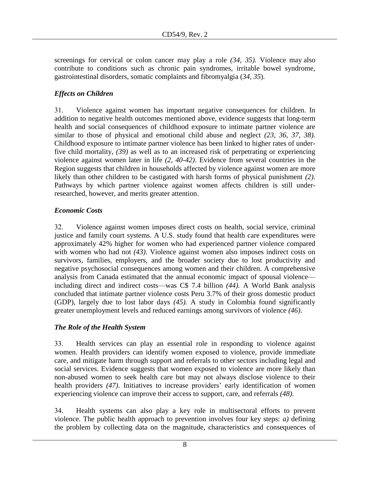screenings for cervical or colon cancer may play a role *(34, 35).* Violence may also contribute to conditions such as chronic pain syndromes, irritable bowel syndrome, gastrointestinal disorders, somatic complaints and fibromyalgia (*34, 35*).

## *Effects on Children*

31. Violence against women has important negative consequences for children. In addition to negative health outcomes mentioned above, evidence suggests that long-term health and social consequences of childhood exposure to intimate partner violence are similar to those of physical and emotional child abuse and neglect *(23, 36, 37, 38).*  Childhood exposure to intimate partner violence has been linked to higher rates of underfive child mortality, *(39)* as well as to an increased risk of perpetrating or experiencing violence against women later in life *(2, 40-42)*. Evidence from several countries in the Region suggests that children in households affected by violence against women are more likely than other children to be castigated with harsh forms of physical punishment *(2)*. Pathways by which partner violence against women affects children is still underresearched, however, and merits greater attention.

## *Economic Costs*

32. Violence against women imposes direct costs on health, social service, criminal justice and family court systems. A U.S. study found that health care expenditures were approximately 42% higher for women who had experienced partner violence compared with women who had not *(43)*. Violence against women also imposes indirect costs on survivors, families, employers, and the broader society due to lost productivity and negative psychosocial consequences among women and their children. A comprehensive analysis from Canada estimated that the annual economic impact of spousal violence including direct and indirect costs—was C\$ 7.4 billion *(44).* A World Bank analysis concluded that intimate partner violence costs Peru 3.7% of their gross domestic product (GDP), largely due to lost labor days *(45).* A study in Colombia found significantly greater unemployment levels and reduced earnings among survivors of violence *(46)*.

## *The Role of the Health System*

33. Health services can play an essential role in responding to violence against women. Health providers can identify women exposed to violence, provide immediate care, and mitigate harm through support and referrals to other sectors including legal and social services. Evidence suggests that women exposed to violence are more likely than non-abused women to seek health care but may not always disclose violence to their health providers *(47)*. Initiatives to increase providers' early identification of women experiencing violence can improve their access to support, care, and referrals *(48)*.

34. Health systems can also play a key role in multisectoral efforts to prevent violence. The public health approach to prevention involves four key steps: *a)* defining the problem by collecting data on the magnitude, characteristics and consequences of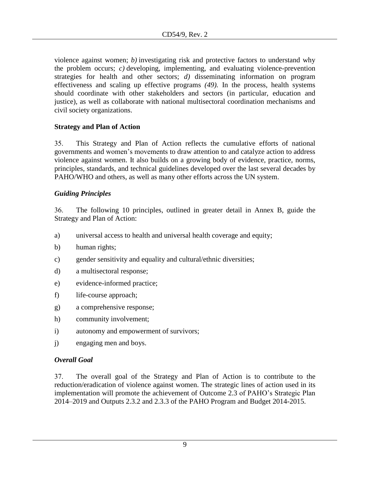violence against women; *b)* investigating risk and protective factors to understand why the problem occurs; *c)* developing, implementing, and evaluating violence-prevention strategies for health and other sectors; *d)* disseminating information on program effectiveness and scaling up effective programs *(49).* In the process, health systems should coordinate with other stakeholders and sectors (in particular, education and justice), as well as collaborate with national multisectoral coordination mechanisms and civil society organizations.

## **Strategy and Plan of Action**

35. This Strategy and Plan of Action reflects the cumulative efforts of national governments and women's movements to draw attention to and catalyze action to address violence against women. It also builds on a growing body of evidence, practice, norms, principles, standards, and technical guidelines developed over the last several decades by PAHO/WHO and others, as well as many other efforts across the UN system.

## *Guiding Principles*

36. The following 10 principles, outlined in greater detail in Annex B, guide the Strategy and Plan of Action:

- a) universal access to health and universal health coverage and equity;
- b) human rights;
- c) gender sensitivity and equality and cultural/ethnic diversities;
- d) a multisectoral response;
- e) evidence-informed practice;
- f) life-course approach;
- g) a comprehensive response;
- h) community involvement;
- i) autonomy and empowerment of survivors;
- j) engaging men and boys.

## *Overall Goal*

37. The overall goal of the Strategy and Plan of Action is to contribute to the reduction/eradication of violence against women. The strategic lines of action used in its implementation will promote the achievement of Outcome 2.3 of PAHO's Strategic Plan 2014–2019 and Outputs 2.3.2 and 2.3.3 of the PAHO Program and Budget 2014-2015.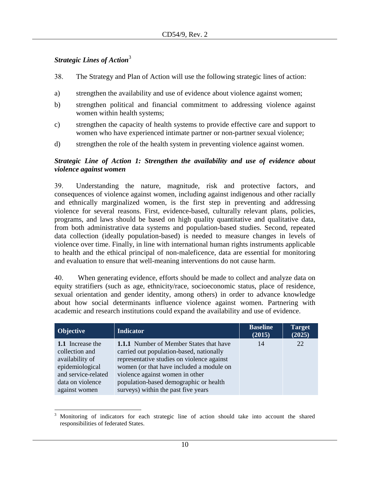## *Strategic Lines of Action*<sup>3</sup>

- 38. The Strategy and Plan of Action will use the following strategic lines of action:
- a) strengthen the availability and use of evidence about violence against women;
- b) strengthen political and financial commitment to addressing violence against women within health systems;
- c) strengthen the capacity of health systems to provide effective care and support to women who have experienced intimate partner or non-partner sexual violence;
- d) strengthen the role of the health system in preventing violence against women.

## *Strategic Line of Action 1: Strengthen the availability and use of evidence about violence against women*

39. Understanding the nature, magnitude, risk and protective factors, and consequences of violence against women, including against indigenous and other racially and ethnically marginalized women, is the first step in preventing and addressing violence for several reasons. First, evidence-based, culturally relevant plans, policies, programs, and laws should be based on high quality quantitative and qualitative data, from both administrative data systems and population-based studies. Second, repeated data collection (ideally population-based) is needed to measure changes in levels of violence over time. Finally, in line with international human rights instruments applicable to health and the ethical principal of non-maleficence, data are essential for monitoring and evaluation to ensure that well-meaning interventions do not cause harm.

40. When generating evidence, efforts should be made to collect and analyze data on equity stratifiers (such as age, ethnicity/race, socioeconomic status, place of residence, sexual orientation and gender identity, among others) in order to advance knowledge about how social determinants influence violence against women. Partnering with academic and research institutions could expand the availability and use of evidence.

| <b>Objective</b>                                                                                                                     | <b>Indicator</b>                                                                                                                                                                                                                                                                                         | <b>Baseline</b><br>(2015) | <b>Target</b><br>(2025) |
|--------------------------------------------------------------------------------------------------------------------------------------|----------------------------------------------------------------------------------------------------------------------------------------------------------------------------------------------------------------------------------------------------------------------------------------------------------|---------------------------|-------------------------|
| 1.1 Increase the<br>collection and<br>availability of<br>epidemiological<br>and service-related<br>data on violence<br>against women | <b>1.1.1</b> Number of Member States that have<br>carried out population-based, nationally<br>representative studies on violence against<br>women (or that have included a module on<br>violence against women in other<br>population-based demographic or health<br>surveys) within the past five years | 14                        | 22                      |

 $\overline{\phantom{a}}$ <sup>3</sup> Monitoring of indicators for each strategic line of action should take into account the shared responsibilities of federated States.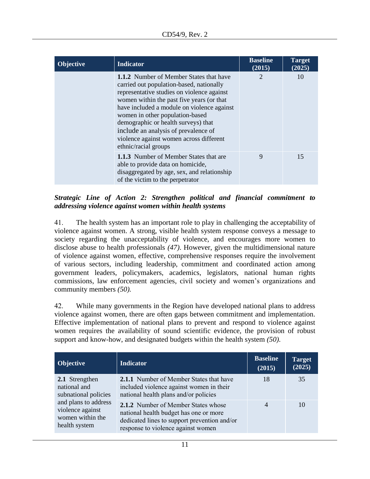| <b>Objective</b> | <b>Indicator</b>                                                                                                                                                                                                                                                                                                                                                                                                         | <b>Baseline</b><br>(2015) | <b>Target</b><br>(2025) |
|------------------|--------------------------------------------------------------------------------------------------------------------------------------------------------------------------------------------------------------------------------------------------------------------------------------------------------------------------------------------------------------------------------------------------------------------------|---------------------------|-------------------------|
|                  | <b>1.1.2</b> Number of Member States that have<br>carried out population-based, nationally<br>representative studies on violence against<br>women within the past five years (or that<br>have included a module on violence against<br>women in other population-based<br>demographic or health surveys) that<br>include an analysis of prevalence of<br>violence against women across different<br>ethnic/racial groups | $\overline{2}$            | 10                      |
|                  | <b>1.1.3</b> Number of Member States that are<br>able to provide data on homicide,<br>disaggregated by age, sex, and relationship<br>of the victim to the perpetrator                                                                                                                                                                                                                                                    | 9                         | 15                      |

*Strategic Line of Action 2: Strengthen political and financial commitment to addressing violence against women within health systems*

41. The health system has an important role to play in challenging the acceptability of violence against women. A strong, visible health system response conveys a message to society regarding the unacceptability of violence, and encourages more women to disclose abuse to health professionals *(47)*. However, given the multidimensional nature of violence against women, effective, comprehensive responses require the involvement of various sectors, including leadership, commitment and coordinated action among government leaders, policymakers, academics, legislators, national human rights commissions, law enforcement agencies, civil society and women's organizations and community members *(50).*

42. While many governments in the Region have developed national plans to address violence against women, there are often gaps between commitment and implementation. Effective implementation of national plans to prevent and respond to violence against women requires the availability of sound scientific evidence, the provision of robust support and know-how, and designated budgets within the health system *(50)*.

| Objective                                                                                                                               | <b>Indicator</b>                                                                                                                                                           | <b>Baseline</b><br>(2015) | <b>Target</b><br>(2025) |
|-----------------------------------------------------------------------------------------------------------------------------------------|----------------------------------------------------------------------------------------------------------------------------------------------------------------------------|---------------------------|-------------------------|
| 2.1 Strengthen<br>national and<br>subnational policies<br>and plans to address<br>violence against<br>women within the<br>health system | <b>2.1.1</b> Number of Member States that have<br>included violence against women in their<br>national health plans and/or policies                                        | 18                        | 35                      |
|                                                                                                                                         | <b>2.1.2</b> Number of Member States whose<br>national health budget has one or more<br>dedicated lines to support prevention and/or<br>response to violence against women | $\overline{4}$            | 10                      |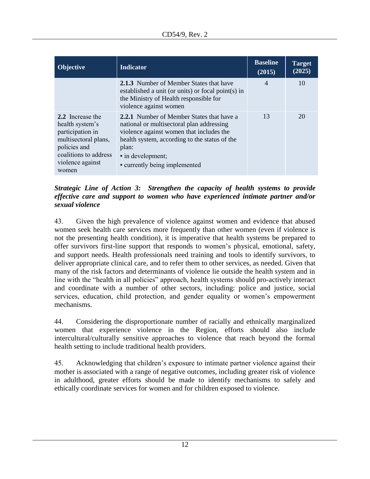| <b>Objective</b>                                                                                                                                      | <b>Indicator</b>                                                                                                                                                                                                                                   | <b>Baseline</b><br>(2015) | <b>Target</b><br>(2025) |
|-------------------------------------------------------------------------------------------------------------------------------------------------------|----------------------------------------------------------------------------------------------------------------------------------------------------------------------------------------------------------------------------------------------------|---------------------------|-------------------------|
|                                                                                                                                                       | 2.1.3 Number of Member States that have<br>established a unit (or units) or focal point(s) in<br>the Ministry of Health responsible for<br>violence against women                                                                                  | $\overline{4}$            | 10                      |
| 2.2 Increase the<br>health system's<br>participation in<br>multisectoral plans,<br>policies and<br>coalitions to address<br>violence against<br>women | 2.2.1 Number of Member States that have a<br>national or multisectoral plan addressing<br>violence against women that includes the<br>health system, according to the status of the<br>plan:<br>· in development;<br>• currently being implemented | 13                        | 20                      |

*Strategic Line of Action 3: Strengthen the capacity of health systems to provide effective care and support to women who have experienced intimate partner and/or sexual violence*

43. Given the high prevalence of violence against women and evidence that abused women seek health care services more frequently than other women (even if violence is not the presenting health condition), it is imperative that health systems be prepared to offer survivors first-line support that responds to women's physical, emotional, safety, and support needs. Health professionals need training and tools to identify survivors, to deliver appropriate clinical care, and to refer them to other services, as needed. Given that many of the risk factors and determinants of violence lie outside the health system and in line with the "health in all policies" approach, health systems should pro-actively interact and coordinate with a number of other sectors, including: police and justice, social services, education, child protection, and gender equality or women's empowerment mechanisms.

44. Considering the disproportionate number of racially and ethnically marginalized women that experience violence in the Region, efforts should also include intercultural/culturally sensitive approaches to violence that reach beyond the formal health setting to include traditional health providers.

45. Acknowledging that children's exposure to intimate partner violence against their mother is associated with a range of negative outcomes, including greater risk of violence in adulthood, greater efforts should be made to identify mechanisms to safely and ethically coordinate services for women and for children exposed to violence.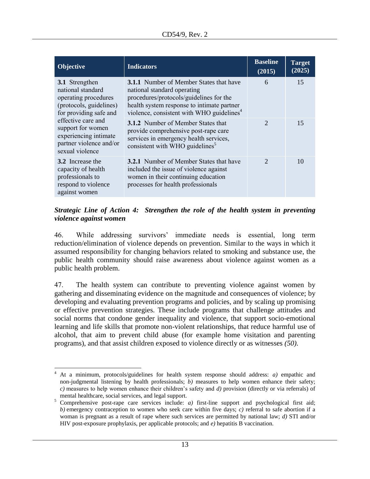| <b>Objective</b>                                                                                                                                                                                                                   | <b>Indicators</b>                                                                                                                                                                                                               | <b>Baseline</b><br>(2015) | <b>Target</b><br>(2025) |
|------------------------------------------------------------------------------------------------------------------------------------------------------------------------------------------------------------------------------------|---------------------------------------------------------------------------------------------------------------------------------------------------------------------------------------------------------------------------------|---------------------------|-------------------------|
| 3.1 Strengthen<br>national standard<br>operating procedures<br>(protocols, guidelines)<br>for providing safe and<br>effective care and<br>support for women<br>experiencing intimate<br>partner violence and/or<br>sexual violence | <b>3.1.1</b> Number of Member States that have<br>national standard operating<br>procedures/protocols/guidelines for the<br>health system response to intimate partner<br>violence, consistent with WHO guidelines <sup>4</sup> | 6                         | 15                      |
|                                                                                                                                                                                                                                    | <b>3.1.2</b> Number of Member States that<br>provide comprehensive post-rape care<br>services in emergency health services,<br>consistent with WHO guidelines <sup>5</sup>                                                      | $\mathcal{D}_{\cdot}$     | 15                      |
| <b>3.2</b> Increase the<br>capacity of health<br>professionals to<br>respond to violence<br>against women                                                                                                                          | <b>3.2.1</b> Number of Member States that have<br>included the issue of violence against<br>women in their continuing education<br>processes for health professionals                                                           | $\mathcal{D}_{\cdot}$     | 10                      |

## *Strategic Line of Action 4: Strengthen the role of the health system in preventing violence against women*

46. While addressing survivors' immediate needs is essential, long term reduction/elimination of violence depends on prevention. Similar to the ways in which it assumed responsibility for changing behaviors related to smoking and substance use, the public health community should raise awareness about violence against women as a public health problem.

47. The health system can contribute to preventing violence against women by gathering and disseminating evidence on the magnitude and consequences of violence; by developing and evaluating prevention programs and policies, and by scaling up promising or effective prevention strategies. These include programs that challenge attitudes and social norms that condone gender inequality and violence, that support socio-emotional learning and life skills that promote non-violent relationships, that reduce harmful use of alcohol, that aim to prevent child abuse (for example home visitation and parenting programs), and that assist children exposed to violence directly or as witnesses *(50)*.

 $\overline{a}$ <sup>4</sup> At a minimum, protocols/guidelines for health system response should address: *a)* empathic and non-judgmental listening by health professionals; *b)* measures to help women enhance their safety; *c)* measures to help women enhance their children's safety and *d)* provision (directly or via referrals) of mental healthcare, social services, and legal support.

<sup>&</sup>lt;sup>5</sup> Comprehensive post-rape care services include: *a*) first-line support and psychological first aid; *b)* emergency contraception to women who seek care within five days; *c)* referral to safe abortion if a woman is pregnant as a result of rape where such services are permitted by national law; *d)* STI and/or HIV post-exposure prophylaxis, per applicable protocols; and *e)* hepatitis B vaccination.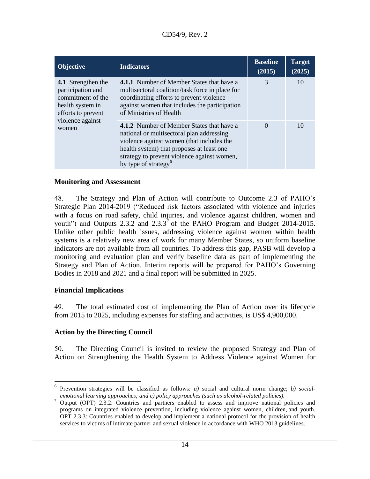| <b>Objective</b>                                                                                                                    | <b>Indicators</b>                                                                                                                                                                                                                                                          | <b>Baseline</b><br>(2015) | <b>Target</b><br>(2025) |
|-------------------------------------------------------------------------------------------------------------------------------------|----------------------------------------------------------------------------------------------------------------------------------------------------------------------------------------------------------------------------------------------------------------------------|---------------------------|-------------------------|
| 4.1 Strengthen the<br>participation and<br>commitment of the<br>health system in<br>efforts to prevent<br>violence against<br>women | <b>4.1.1</b> Number of Member States that have a<br>multisectoral coalition/task force in place for<br>coordinating efforts to prevent violence<br>against women that includes the participation<br>of Ministries of Health                                                | 3                         | 10                      |
|                                                                                                                                     | <b>4.1.2</b> Number of Member States that have a<br>national or multisectoral plan addressing<br>violence against women (that includes the<br>health system) that proposes at least one<br>strategy to prevent violence against women,<br>by type of strategy <sup>6</sup> | $\Omega$                  | 10                      |

#### **Monitoring and Assessment**

48. The Strategy and Plan of Action will contribute to Outcome 2.3 of PAHO's Strategic Plan 2014-2019 ("Reduced risk factors associated with violence and injuries with a focus on road safety, child injuries, and violence against children, women and youth") and Outputs 2.3.2 and 2.3.3<sup>7</sup> of the PAHO Program and Budget 2014-2015. Unlike other public health issues, addressing violence against women within health systems is a relatively new area of work for many Member States, so uniform baseline indicators are not available from all countries. To address this gap, PASB will develop a monitoring and evaluation plan and verify baseline data as part of implementing the Strategy and Plan of Action. Interim reports will be prepared for PAHO's Governing Bodies in 2018 and 2021 and a final report will be submitted in 2025.

#### **Financial Implications**

 $\overline{a}$ 

49. The total estimated cost of implementing the Plan of Action over its lifecycle from 2015 to 2025, including expenses for staffing and activities, is US\$ 4,900,000.

### **Action by the Directing Council**

50. The Directing Council is invited to review the proposed Strategy and Plan of Action on Strengthening the Health System to Address Violence against Women for

<sup>6</sup> Prevention strategies will be classified as follows: *a)* social and cultural norm change; *b) socialemotional learning approaches; and c) policy approaches (such as alcohol-related policies).*

<sup>7</sup> Output (OPT) 2.3.2: Countries and partners enabled to assess and improve national policies and programs on integrated violence prevention, including violence against women, children, and youth. OPT 2.3.3: Countries enabled to develop and implement a national protocol for the provision of health services to victims of intimate partner and sexual violence in accordance with WHO 2013 guidelines.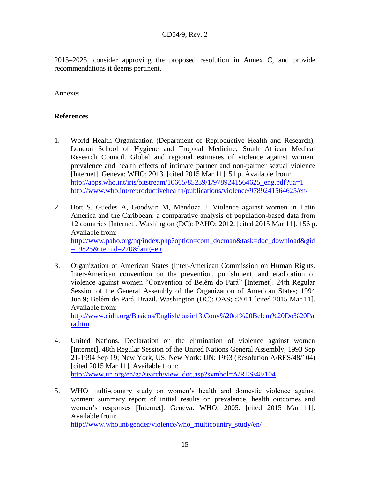2015–2025, consider approving the proposed resolution in Annex C, and provide recommendations it deems pertinent.

Annexes

## **References**

- 1. World Health Organization (Department of Reproductive Health and Research); London School of Hygiene and Tropical Medicine; South African Medical Research Council. Global and regional estimates of violence against women: prevalence and health effects of intimate partner and non-partner sexual violence [Internet]. Geneva: WHO; 2013. [cited 2015 Mar 11]. 51 p. Available from: [http://apps.who.int/iris/bitstream/10665/85239/1/9789241564625\\_eng.pdf?ua=1](http://apps.who.int/iris/bitstream/10665/85239/1/9789241564625_eng.pdf?ua=1) <http://www.who.int/reproductivehealth/publications/violence/9789241564625/en/>
- 2. Bott S, Guedes A, Goodwin M, Mendoza J. Violence against women in Latin America and the Caribbean: a comparative analysis of population-based data from 12 countries [Internet]. Washington (DC): PAHO; 2012. [cited 2015 Mar 11]. 156 p. Available from: [http://www.paho.org/hq/index.php?option=com\\_docman&task=doc\\_download&gid](http://www.paho.org/hq/index.php?option=com_docman&task=doc_download&gid=19825&Itemid=270&lang=en) [=19825&Itemid=270&lang=en](http://www.paho.org/hq/index.php?option=com_docman&task=doc_download&gid=19825&Itemid=270&lang=en)
- 3. Organization of American States (Inter-American Commission on Human Rights. Inter-American convention on the prevention, punishment, and eradication of violence against women "Convention of Belém do Pará" [Internet]. 24th Regular Session of the General Assembly of the Organization of American States; 1994 Jun 9; Belém do Pará, Brazil. Washington (DC): OAS; c2011 [cited 2015 Mar 11]. Available from: [http://www.cidh.org/Basicos/English/basic13.Conv%20of%20Belem%20Do%20Pa](http://www.cidh.org/Basicos/English/basic13.Conv%20of%20Belem%20Do%20Para.htm)

[ra.htm](http://www.cidh.org/Basicos/English/basic13.Conv%20of%20Belem%20Do%20Para.htm)

- 4. United Nations. Declaration on the elimination of violence against women [Internet]. 48th Regular Session of the United Nations General Assembly; 1993 Sep 21-1994 Sep 19; New York, US. New York: UN; 1993 (Resolution A/RES/48/104) [cited 2015 Mar 11]. Available from: [http://www.un.org/en/ga/search/view\\_doc.asp?symbol=A/RES/48/104](http://www.un.org/en/ga/search/view_doc.asp?symbol=A/RES/48/104)
- 5. WHO multi-country study on women's health and domestic violence against women: summary report of initial results on prevalence, health outcomes and women's responses [Internet]. Geneva: WHO; 2005. [cited 2015 Mar 11]. Available from:

[http://www.who.int/gender/violence/who\\_multicountry\\_study/en/](http://www.who.int/gender/violence/who_multicountry_study/en/)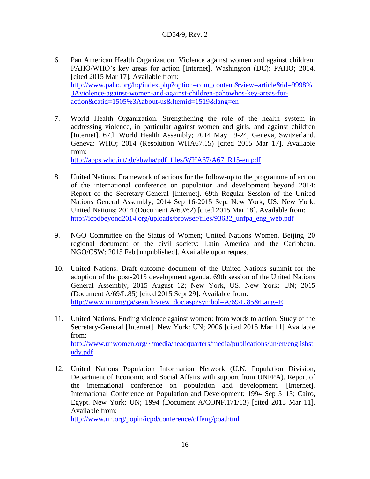- 6. Pan American Health Organization. Violence against women and against children: PAHO/WHO's key areas for action [Internet]. Washington (DC): PAHO; 2014. [cited 2015 Mar 17]. Available from: [http://www.paho.org/hq/index.php?option=com\\_content&view=article&id=9998%](http://www.paho.org/hq/index.php?option=com_content&view=article&id=9998%3Aviolence-against-women-and-against-children-pahowhos-key-areas-for-action&catid=1505%3Aabout-us&Itemid=1519&lang=en) [3Aviolence-against-women-and-against-children-pahowhos-key-areas-for](http://www.paho.org/hq/index.php?option=com_content&view=article&id=9998%3Aviolence-against-women-and-against-children-pahowhos-key-areas-for-action&catid=1505%3Aabout-us&Itemid=1519&lang=en)[action&catid=1505%3Aabout-us&Itemid=1519&lang=en](http://www.paho.org/hq/index.php?option=com_content&view=article&id=9998%3Aviolence-against-women-and-against-children-pahowhos-key-areas-for-action&catid=1505%3Aabout-us&Itemid=1519&lang=en)
- 7. World Health Organization. Strengthening the role of the health system in addressing violence, in particular against women and girls, and against children [Internet]. 67th World Health Assembly; 2014 May 19-24; Geneva, Switzerland. Geneva: WHO; 2014 (Resolution WHA67.15) [cited 2015 Mar 17]. Available from:

[http://apps.who.int/gb/ebwha/pdf\\_files/WHA67/A67\\_R15-en.pdf](http://apps.who.int/gb/ebwha/pdf_files/WHA67/A67_R15-en.pdf)

- 8. United Nations. Framework of actions for the follow-up to the programme of action of the international conference on population and development beyond 2014: Report of the Secretary-General [Internet]. 69th Regular Session of the United Nations General Assembly; 2014 Sep 16-2015 Sep; New York, US. New York: United Nations; 2014 (Document A/69/62) [cited 2015 Mar 18]. Available from: [http://icpdbeyond2014.org/uploads/browser/files/93632\\_unfpa\\_eng\\_web.pdf](http://icpdbeyond2014.org/uploads/browser/files/93632_unfpa_eng_web.pdf)
- 9. NGO Committee on the Status of Women; United Nations Women. Beijing+20 regional document of the civil society: Latin America and the Caribbean. NGO/CSW: 2015 Feb [unpublished]. Available upon request.
- 10. United Nations. Draft outcome document of the United Nations summit for the adoption of the post-2015 development agenda. 69th session of the United Nations General Assembly, 2015 August 12; New York, US. New York: UN; 2015 (Document A/69/L.85) [cited 2015 Sept 29]. Available from: [http://www.un.org/ga/search/view\\_doc.asp?symbol=A/69/L.85&Lang=E](http://www.un.org/ga/search/view_doc.asp?symbol=A/69/L.85&Lang=E)
- 11. United Nations. Ending violence against women: from words to action. Study of the Secretary-General [Internet]. New York: UN; 2006 [cited 2015 Mar 11] Available from: [http://www.unwomen.org/~/media/headquarters/media/publications/un/en/englishst](http://www.unwomen.org/~/media/headquarters/media/publications/un/en/englishstudy.pdf) [udy.pdf](http://www.unwomen.org/~/media/headquarters/media/publications/un/en/englishstudy.pdf)
- 12. United Nations Population Information Network (U.N. Population Division, Department of Economic and Social Affairs with support from UNFPA). Report of the international conference on population and development. [Internet]. International Conference on Population and Development; 1994 Sep 5–13; Cairo, Egypt. New York: UN; 1994 (Document A/CONF.171/13) [cited 2015 Mar 11]. Available from:

<http://www.un.org/popin/icpd/conference/offeng/poa.html>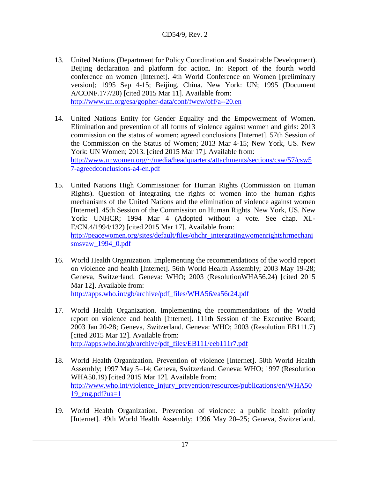- 13. United Nations (Department for Policy Coordination and Sustainable Development). Beijing declaration and platform for action. In: Report of the fourth world conference on women [Internet]. 4th World Conference on Women [preliminary version]; 1995 Sep 4-15; Beijing, China. New York: UN; 1995 (Document A/CONF.177/20) [cited 2015 Mar 11]. Available from: <http://www.un.org/esa/gopher-data/conf/fwcw/off/a--20.en>
- 14. United Nations Entity for Gender Equality and the Empowerment of Women. Elimination and prevention of all forms of violence against women and girls: 2013 commission on the status of women: agreed conclusions [Internet]. 57th Session of the Commission on the Status of Women; 2013 Mar 4-15; New York, US. New York: UN Women; 2013. [cited 2015 Mar 17]. Available from: [http://www.unwomen.org/~/media/headquarters/attachments/sections/csw/57/csw5](http://www.unwomen.org/~/media/headquarters/attachments/sections/csw/57/csw57-agreedconclusions-a4-en.pdf) [7-agreedconclusions-a4-en.pdf](http://www.unwomen.org/~/media/headquarters/attachments/sections/csw/57/csw57-agreedconclusions-a4-en.pdf)
- 15. United Nations High Commissioner for Human Rights (Commission on Human Rights). Question of integrating the rights of women into the human rights mechanisms of the United Nations and the elimination of violence against women [Internet]. 45th Session of the Commission on Human Rights. New York, US. New York: UNHCR; 1994 Mar 4 (Adopted without a vote. See chap. XI.- E/CN.4/1994/132) [cited 2015 Mar 17]. Available from: [http://peacewomen.org/sites/default/files/ohchr\\_intergratingwomenrightshrmechani](http://peacewomen.org/sites/default/files/ohchr_intergratingwomenrightshrmechanismsvaw_1994_0.pdf) smsvaw 1994 0.pdf
- 16. World Health Organization. Implementing the recommendations of the world report on violence and health [Internet]. 56th World Health Assembly; 2003 May 19-28; Geneva, Switzerland. Geneva: WHO; 2003 (ResolutionWHA56.24) [cited 2015 Mar 12]. Available from:

[http://apps.who.int/gb/archive/pdf\\_files/WHA56/ea56r24.pdf](http://apps.who.int/gb/archive/pdf_files/WHA56/ea56r24.pdf)

- 17. World Health Organization. Implementing the recommendations of the World report on violence and health [Internet]. 111th Session of the Executive Board; 2003 Jan 20-28; Geneva, Switzerland. Geneva: WHO; 2003 (Resolution EB111.7) [cited 2015 Mar 12]. Available from: [http://apps.who.int/gb/archive/pdf\\_files/EB111/eeb111r7.pdf](http://apps.who.int/gb/archive/pdf_files/EB111/eeb111r7.pdf)
- 18. World Health Organization. Prevention of violence [Internet]. 50th World Health Assembly; 1997 May 5–14; Geneva, Switzerland. Geneva: WHO; 1997 (Resolution WHA50.19) [cited 2015 Mar 12]. Available from: [http://www.who.int/violence\\_injury\\_prevention/resources/publications/en/WHA50](http://www.who.int/violence_injury_prevention/resources/publications/en/WHA5019_eng.pdf?ua=1) [19\\_eng.pdf?ua=1](http://www.who.int/violence_injury_prevention/resources/publications/en/WHA5019_eng.pdf?ua=1)
- 19. World Health Organization. Prevention of violence: a public health priority [Internet]. 49th World Health Assembly; 1996 May 20–25; Geneva, Switzerland.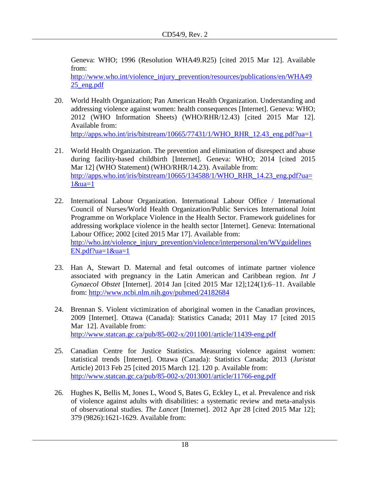Geneva: WHO; 1996 (Resolution WHA49.R25) [cited 2015 Mar 12]. Available from:

[http://www.who.int/violence\\_injury\\_prevention/resources/publications/en/WHA49](http://www.who.int/violence_injury_prevention/resources/publications/en/WHA4925_eng.pdf) [25\\_eng.pdf](http://www.who.int/violence_injury_prevention/resources/publications/en/WHA4925_eng.pdf)

- 20. World Health Organization; Pan American Health Organization. Understanding and addressing violence against women: health consequences [Internet]. Geneva: WHO; 2012 (WHO Information Sheets) (WHO/RHR/12.43) [cited 2015 Mar 12]. Available from: [http://apps.who.int/iris/bitstream/10665/77431/1/WHO\\_RHR\\_12.43\\_eng.pdf?ua=1](http://apps.who.int/iris/bitstream/10665/77431/1/WHO_RHR_12.43_eng.pdf?ua=1)
- 21. World Health Organization. The prevention and elimination of disrespect and abuse during facility-based childbirth [Internet]. Geneva: WHO; 2014 [cited 2015 Mar 12] (WHO Statement) (WHO/RHR/14.23). Available from: [http://apps.who.int/iris/bitstream/10665/134588/1/WHO\\_RHR\\_14.23\\_eng.pdf?ua=](http://apps.who.int/iris/bitstream/10665/134588/1/WHO_RHR_14.23_eng.pdf?ua=1&ua=1)  $1\&$ ua=1
- 22. International Labour Organization. International Labour Office / International Council of Nurses/World Health Organization/Public Services International Joint Programme on Workplace Violence in the Health Sector. Framework guidelines for addressing workplace violence in the health sector [Internet]. Geneva: International Labour Office; 2002 [cited 2015 Mar 17]. Available from: [http://who.int/violence\\_injury\\_prevention/violence/interpersonal/en/WVguidelines](http://who.int/violence_injury_prevention/violence/interpersonal/en/WVguidelinesEN.pdf?ua=1&ua=1)  $EN.pdf?ua=1&ua=1$
- 23. Han A, Stewart D. Maternal and fetal outcomes of intimate partner violence associated with pregnancy in the Latin American and Caribbean region. *Int J Gynaecol Obstet* [Internet]. 2014 Jan [cited 2015 Mar 12];124(1):6–11. Available from:<http://www.ncbi.nlm.nih.gov/pubmed/24182684>
- 24. Brennan S. Violent victimization of aboriginal women in the Canadian provinces, 2009 [Internet]. Ottawa (Canada): Statistics Canada; 2011 May 17 [cited 2015 Mar 12]. Available from: <http://www.statcan.gc.ca/pub/85-002-x/2011001/article/11439-eng.pdf>
- 25. Canadian Centre for Justice Statistics. [Measuring violence against women:](http://www.statcan.gc.ca/pub/85-002-x/2013001/article/11766-eng.htm)  [statistical trends](http://www.statcan.gc.ca/pub/85-002-x/2013001/article/11766-eng.htm) [Internet]. Ottawa (Canada): Statistics Canada; 2013 (*Juristat* Article) 2013 Feb 25 [cited 2015 March 12]. 120 p. Available from: <http://www.statcan.gc.ca/pub/85-002-x/2013001/article/11766-eng.pdf>
- 26. Hughes K, Bellis M, Jones L, Wood S, Bates G, Eckley L, et al. Prevalence and risk of violence against adults with disabilities: a systematic review and meta-analysis of observational studies. *The Lancet* [Internet]. 2012 Apr 28 [cited 2015 Mar 12]; 379 (9826):1621-1629. Available from: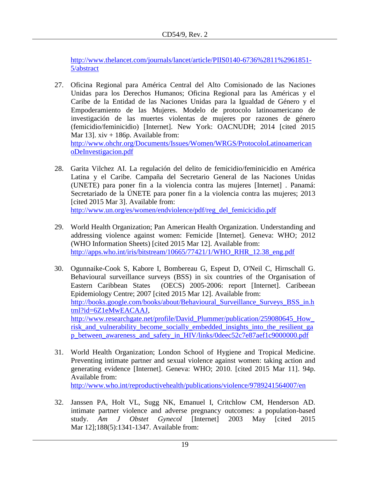[http://www.thelancet.com/journals/lancet/article/PIIS0140-6736%2811%2961851-](http://www.thelancet.com/journals/lancet/article/PIIS0140-6736%2811%2961851-5/abstract) [5/abstract](http://www.thelancet.com/journals/lancet/article/PIIS0140-6736%2811%2961851-5/abstract)

27. Oficina Regional para América Central del Alto Comisionado de las Naciones Unidas para los Derechos Humanos; Oficina Regional para las Américas y el Caribe de la Entidad de las Naciones Unidas para la Igualdad de Género y el Empoderamiento de las Mujeres. Modelo de protocolo latinoamericano de investigación de las muertes violentas de mujeres por razones de género (femicidio/feminicidio) [Internet]. New York: OACNUDH; 2014 [cited 2015 Mar 13].  $xiv + 186p$ . Available from: [http://www.ohchr.org/Documents/Issues/Women/WRGS/ProtocoloLatinoamerican](http://www.ohchr.org/Documents/Issues/Women/WRGS/ProtocoloLatinoamericanoDeInvestigacion.pdf)

[oDeInvestigacion.pdf](http://www.ohchr.org/Documents/Issues/Women/WRGS/ProtocoloLatinoamericanoDeInvestigacion.pdf)

- 28. Garita Vilchez AI. La regulación del delito de femicidio/feminicidio en América Latina y el Caribe. Campaña del Secretario General de las Naciones Unidas (UNETE) para poner fin a la violencia contra las mujeres [Internet] . Panamá: Secretariado de la ÚNETE para poner fin a la violencia contra las mujeres; 2013 [cited 2015 Mar 3]. Available from: [http://www.un.org/es/women/endviolence/pdf/reg\\_del\\_femicicidio.pdf](http://www.un.org/es/women/endviolence/pdf/reg_del_femicicidio.pdf)
- 29. World Health Organization; Pan American Health Organization. Understanding and addressing violence against women: Femicide [Internet]. Geneva: WHO; 2012 (WHO Information Sheets) [cited 2015 Mar 12]. Available from:

[http://apps.who.int/iris/bitstream/10665/77421/1/WHO\\_RHR\\_12.38\\_eng.pdf](http://apps.who.int/iris/bitstream/10665/77421/1/WHO_RHR_12.38_eng.pdf)

- 30. Ogunnaike-Cook S, Kabore I, Bombereau G, Espeut D, O'Neil C, Hirnschall G. Behavioural surveillance surveys (BSS) in six countries of the Organisation of Eastern Caribbean States (OECS) 2005-2006: report [Internet]. Caribeean Epidemiology Centre; 2007 [cited 2015 Mar 12]. Available from: [http://books.google.com/books/about/Behavioural\\_Surveillance\\_Surveys\\_BSS\\_in.h](http://books.google.com/books/about/Behavioural_Surveillance_Surveys_BSS_in.html?id=6Z1eMwEACAAJ) [tml?id=6Z1eMwEACAAJ,](http://books.google.com/books/about/Behavioural_Surveillance_Surveys_BSS_in.html?id=6Z1eMwEACAAJ) [http://www.researchgate.net/profile/David\\_Plummer/publication/259080645\\_How\\_](http://www.researchgate.net/profile/David_Plummer/publication/259080645_How_risk_and_vulnerability_become_socially_embedded_insights_into_the_resilient_gap_between_awareness_and_safety_in_HIV/links/0deec52c7e87aef1c9000000.pdf) risk and vulnerability become socially embedded insights into the resilient ga [p\\_between\\_awareness\\_and\\_safety\\_in\\_HIV/links/0deec52c7e87aef1c9000000.pdf](http://www.researchgate.net/profile/David_Plummer/publication/259080645_How_risk_and_vulnerability_become_socially_embedded_insights_into_the_resilient_gap_between_awareness_and_safety_in_HIV/links/0deec52c7e87aef1c9000000.pdf)
- 31. World Health Organization; London School of Hygiene and Tropical Medicine. Preventing intimate partner and sexual violence against women: taking action and generating evidence [Internet]. Geneva: WHO; 2010. [cited 2015 Mar 11]. 94p. Available from: <http://www.who.int/reproductivehealth/publications/violence/9789241564007/en>
- 32. Janssen PA, Holt VL, Sugg NK, Emanuel I, Critchlow CM, Henderson AD. intimate partner violence and adverse pregnancy outcomes: a population-based study. *Am J Obstet Gynecol* [Internet] 2003 May [cited 2015 Mar 12][;188\(5\):1](http://www.sciencedirect.com/science/journal/00029378/188/5)341-1347. Available from: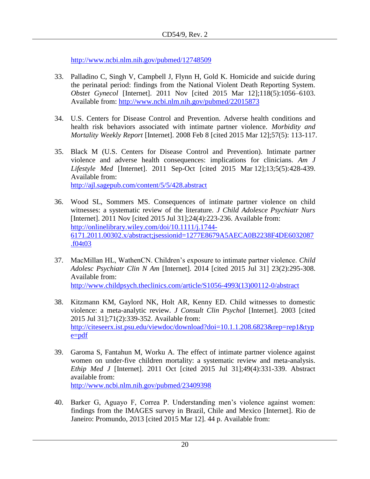<http://www.ncbi.nlm.nih.gov/pubmed/12748509>

- 33. Palladino C, Singh V, Campbell J, Flynn H, Gold K. Homicide and suicide during the perinatal period: findings from the National Violent Death Reporting System. *Obstet Gynecol* [Internet]. 2011 Nov [cited 2015 Mar 12];118(5):1056–6103. Available from:<http://www.ncbi.nlm.nih.gov/pubmed/22015873>
- 34. U.S. Centers for Disease Control and Prevention. Adverse health conditions and health risk behaviors associated with intimate partner violence. *Morbidity and Mortality Weekly Report* [Internet]. 2008 Feb 8 [cited 2015 Mar 12];57(5): 113-117.
- 35. Black M (U.S. Centers for Disease Control and Prevention). Intimate partner violence and adverse health consequences: implications for clinicians. *Am J Lifestyle Med* [Internet]. 2011 Sep-Oct [cited 2015 Mar 12];13;5(5):428-439. Available from: <http://ajl.sagepub.com/content/5/5/428.abstract>
- 36. Wood SL, Sommers MS. Consequences of intimate partner violence on child witnesses: a systematic review of the literature. *J Child Adolesce Psychiatr Nurs* [Internet]. 2011 Nov [cited 2015 Jul 31];24(4):223-236. Available from: [http://onlinelibrary.wiley.com/doi/10.1111/j.1744-](http://onlinelibrary.wiley.com/doi/10.1111/j.1744-6171.2011.00302.x/abstract;jsessionid=1277E8679A5AECA0B2238F4DE6032087.f04t03) [6171.2011.00302.x/abstract;jsessionid=1277E8679A5AECA0B2238F4DE6032087](http://onlinelibrary.wiley.com/doi/10.1111/j.1744-6171.2011.00302.x/abstract;jsessionid=1277E8679A5AECA0B2238F4DE6032087.f04t03) [.f04t03](http://onlinelibrary.wiley.com/doi/10.1111/j.1744-6171.2011.00302.x/abstract;jsessionid=1277E8679A5AECA0B2238F4DE6032087.f04t03)
- 37. MacMillan HL, WathenCN. Children's exposure to intimate partner violence. *Child Adolesc Psychiatr Clin N Am* [Internet]. 2014 [cited 2015 Jul 31] 23(2):295-308. Available from: [http://www.childpsych.theclinics.com/article/S1056-4993\(13\)00112-0/abstract](http://www.childpsych.theclinics.com/article/S1056-4993(13)00112-0/abstract)
- 38. Kitzmann KM, Gaylord NK, Holt AR, Kenny ED. Child witnesses to domestic violence: a meta-analytic review. *J Consult Clin Psychol* [Internet]. 2003 [cited 2015 Jul 31];71(2):339-352. Available from: [http://citeseerx.ist.psu.edu/viewdoc/download?doi=10.1.1.208.6823&rep=rep1&typ](http://citeseerx.ist.psu.edu/viewdoc/download?doi=10.1.1.208.6823&rep=rep1&type=pdf)  $e = pdf$
- 39. Garoma S, Fantahun M, Worku A. The effect of intimate partner violence against women on under-five children mortality: a systematic review and meta-analysis. *Ethip Med J* [Internet]. 2011 Oct [cited 2015 Jul 31];49(4):331-339. Abstract available from: <http://www.ncbi.nlm.nih.gov/pubmed/23409398>
- 40. Barker G, Aguayo F, Correa P. Understanding men's violence against women: findings from the IMAGES survey in Brazil, Chile and Mexico [Internet]. Rio de Janeiro: Promundo, 2013 [cited 2015 Mar 12]. 44 p. Available from: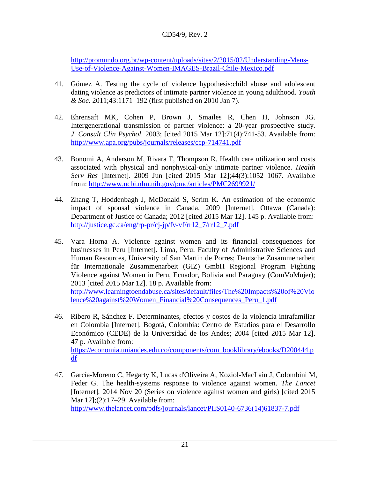[http://promundo.org.br/wp-content/uploads/sites/2/2015/02/Understanding-Mens-](http://promundo.org.br/wp-content/uploads/sites/2/2015/02/Understanding-Mens-Use-of-Violence-Against-Women-IMAGES-Brazil-Chile-Mexico.pdf)[Use-of-Violence-Against-Women-IMAGES-Brazil-Chile-Mexico.pdf](http://promundo.org.br/wp-content/uploads/sites/2/2015/02/Understanding-Mens-Use-of-Violence-Against-Women-IMAGES-Brazil-Chile-Mexico.pdf)

- 41. Gómez A. Testing the cycle of violence hypothesis:child abuse and adolescent dating violence as predictors of intimate partner violence in young adulthood. *Youth & Soc*. 2011;43:1171–192 (first published on 2010 Jan 7).
- 42. Ehrensaft MK, Cohen P, Brown J, Smailes R, Chen H, Johnson JG. Intergenerational transmission of partner violence: a 20-year prospective study. *J Consult Clin Psychol*. 2003; [cited 2015 Mar 12]:71(4):741-53. Available from: <http://www.apa.org/pubs/journals/releases/ccp-714741.pdf>
- 43. Bonomi A, Anderson M, Rivara F, Thompson R. Health care utilization and costs associated with physical and nonphysical-only intimate partner violence. *Health Serv Res* [Internet]. 2009 Jun [cited 2015 Mar 12];44(3):1052–1067. Available from:<http://www.ncbi.nlm.nih.gov/pmc/articles/PMC2699921/>
- 44. Zhang T, Hoddenbagh J, McDonald S, Scrim K. [An estimation of the economic](http://www.justice.gc.ca/eng/rp-pr/cj-jp/fv-vf/rr12_7/index.html)  [impact of spousal violence in Canada, 2009](http://www.justice.gc.ca/eng/rp-pr/cj-jp/fv-vf/rr12_7/index.html) [Internet]. Ottawa (Canada): Department of Justice of Canada; 2012 [cited 2015 Mar 12]. 145 p. Available from: [http://justice.gc.ca/eng/rp-pr/cj-jp/fv-vf/rr12\\_7/rr12\\_7.pdf](http://justice.gc.ca/eng/rp-pr/cj-jp/fv-vf/rr12_7/rr12_7.pdf)
- 45. Vara Horna A. Violence against women and its financial consequences for businesses in Peru [Internet]. Lima, Peru: Faculty of Administrative Sciences and Human Resources, University of San Martin de Porres; Deutsche Zusammenarbeit für Internationale Zusammenarbeit (GIZ) GmbH Regional Program Fighting Violence against Women in Peru, Ecuador, Bolivia and Paraguay (ComVoMujer); 2013 [cited 2015 Mar 12]. 18 p. Available from: [http://www.learningtoendabuse.ca/sites/default/files/The%20Impacts%20of%20Vio](http://www.learningtoendabuse.ca/sites/default/files/The%20Impacts%20of%20Violence%20against%20Women_Financial%20Consequences_Peru_1.pdf) [lence%20against%20Women\\_Financial%20Consequences\\_Peru\\_1.pdf](http://www.learningtoendabuse.ca/sites/default/files/The%20Impacts%20of%20Violence%20against%20Women_Financial%20Consequences_Peru_1.pdf)
- 46. Ribero R, Sánchez F. Determinantes, efectos y costos de la violencia intrafamiliar en Colombia [Internet]. Bogotá, Colombia: Centro de Estudios para el Desarrollo Económico (CEDE) de la Universidad de los Andes; 2004 [cited 2015 Mar 12]. 47 p. Available from: [https://economia.uniandes.edu.co/components/com\\_booklibrary/ebooks/D200444.p](https://economia.uniandes.edu.co/components/com_booklibrary/ebooks/D200444.pdf) [df](https://economia.uniandes.edu.co/components/com_booklibrary/ebooks/D200444.pdf)
- 47. García-Moreno C, Hegarty K, Lucas d'Oliveira A, Koziol-MacLain J, Colombini M, Feder G. The health-systems response to violence against women. *The Lancet*  [Internet]*.* 2014 Nov 20 (Series on violence against women and girls) [cited 2015 Mar 12];(2):17–29. Available from: [http://www.thelancet.com/pdfs/journals/lancet/PIIS0140-6736\(14\)61837-7.pdf](http://www.thelancet.com/pdfs/journals/lancet/PIIS0140-6736(14)61837-7.pdf)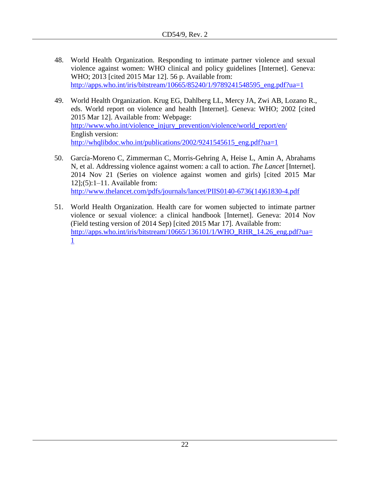- 48. World Health Organization. Responding to intimate partner violence and sexual violence against women: WHO clinical and policy guidelines [Internet]. Geneva: WHO; 2013 [cited 2015 Mar 12]. 56 p. Available from: [http://apps.who.int/iris/bitstream/10665/85240/1/9789241548595\\_eng.pdf?ua=1](http://apps.who.int/iris/bitstream/10665/85240/1/9789241548595_eng.pdf?ua=1)
- 49. World Health Organization. Krug EG, Dahlberg LL, Mercy JA, Zwi AB, Lozano R., eds. World report on violence and health [Internet]. Geneva: WHO; 2002 [cited 2015 Mar 12]. Available from: Webpage: [http://www.who.int/violence\\_injury\\_prevention/violence/world\\_report/en/](http://www.who.int/violence_injury_prevention/violence/world_report/en/) English version: [http://whqlibdoc.who.int/publications/2002/9241545615\\_eng.pdf?ua=1](http://whqlibdoc.who.int/publications/2002/9241545615_eng.pdf?ua=1)
- 50. García-Moreno C, Zimmerman C, [Morris-Gehring](javascript:void(0);) A, [Heise](javascript:void(0);) L, Amin A, Abrahams N, et al. Addressing violence against women: a call to action. *The Lancet* [Internet]. 2014 Nov 21 (Series on violence against women and girls) [cited 2015 Mar 12];(5):1–11. Available from: [http://www.thelancet.com/pdfs/journals/lancet/PIIS0140-6736\(14\)61830-4.pdf](http://www.thelancet.com/pdfs/journals/lancet/PIIS0140-6736(14)61830-4.pdf)
- 51. World Health Organization. Health care for women subjected to intimate partner violence or sexual violence: a clinical handbook [Internet]. Geneva: 2014 Nov (Field testing version of 2014 Sep) [cited 2015 Mar 17]. Available from: [http://apps.who.int/iris/bitstream/10665/136101/1/WHO\\_RHR\\_14.26\\_eng.pdf?ua=](http://apps.who.int/iris/bitstream/10665/136101/1/WHO_RHR_14.26_eng.pdf?ua=1) [1](http://apps.who.int/iris/bitstream/10665/136101/1/WHO_RHR_14.26_eng.pdf?ua=1)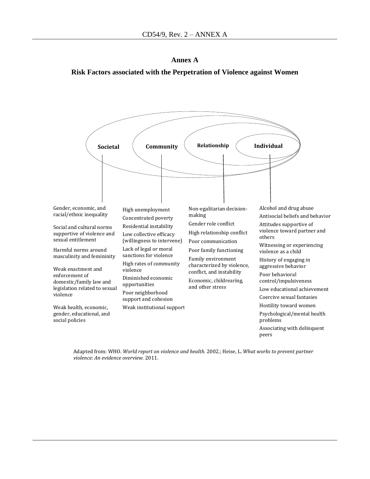**Annex A Risk Factors associated with the Perpetration of Violence against Women**



Adapted from: WHO. *World report on violence and health.* 2002.; Heise, L. *What works to prevent partner violence: An evidence overview.* 2011.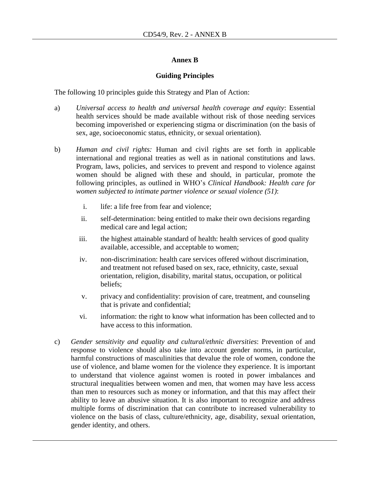#### **Annex B**

#### **Guiding Principles**

The following 10 principles guide this Strategy and Plan of Action:

- a) *Universal access to health and universal health coverage and equity*: Essential health services should be made available without risk of those needing services becoming impoverished or experiencing stigma or discrimination (on the basis of sex, age, socioeconomic status, ethnicity, or sexual orientation).
- b) *Human and civil rights:* Human and civil rights are set forth in applicable international and regional treaties as well as in national constitutions and laws. Program, laws, policies, and services to prevent and respond to violence against women should be aligned with these and should, in particular, promote the following principles, as outlined in WHO's *Clinical Handbook: Health care for women subjected to intimate partner violence or sexual violence (51)*:
	- i. life: a life free from fear and violence;
	- ii. self-determination: being entitled to make their own decisions regarding medical care and legal action;
	- iii. the highest attainable standard of health: health services of good quality available, accessible, and acceptable to women;
	- iv. non-discrimination: health care services offered without discrimination, and treatment not refused based on sex, race, ethnicity, caste, sexual orientation, religion, disability, marital status, occupation, or political beliefs;
	- v. privacy and confidentiality: provision of care, treatment, and counseling that is private and confidential;
	- vi. information: the right to know what information has been collected and to have access to this information.
- c) *Gender sensitivity and equality and cultural/ethnic diversities*: Prevention of and response to violence should also take into account gender norms, in particular, harmful constructions of masculinities that devalue the role of women, condone the use of violence, and blame women for the violence they experience. It is important to understand that violence against women is rooted in power imbalances and structural inequalities between women and men, that women may have less access than men to resources such as money or information, and that this may affect their ability to leave an abusive situation. It is also important to recognize and address multiple forms of discrimination that can contribute to increased vulnerability to violence on the basis of class, culture/ethnicity, age, disability, sexual orientation, gender identity, and others.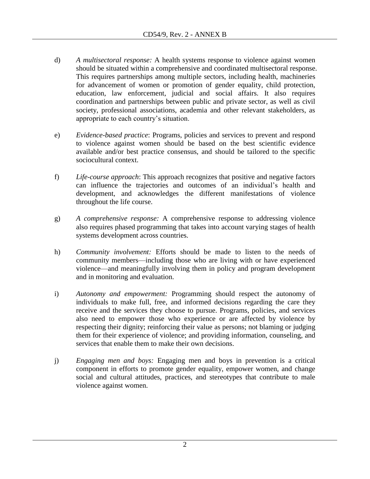- d) *A multisectoral response:* A health systems response to violence against women should be situated within a comprehensive and coordinated multisectoral response. This requires partnerships among multiple sectors, including health, machineries for advancement of women or promotion of gender equality, child protection, education, law enforcement, judicial and social affairs. It also requires coordination and partnerships between public and private sector, as well as civil society, professional associations, academia and other relevant stakeholders, as appropriate to each country's situation.
- e) *Evidence-based practice*: Programs, policies and services to prevent and respond to violence against women should be based on the best scientific evidence available and/or best practice consensus, and should be tailored to the specific sociocultural context.
- f) *Life-course approach*: This approach recognizes that positive and negative factors can influence the trajectories and outcomes of an individual's health and development, and acknowledges the different manifestations of violence throughout the life course.
- g) *A comprehensive response:* A comprehensive response to addressing violence also requires phased programming that takes into account varying stages of health systems development across countries.
- h) *Community involvement:* Efforts should be made to listen to the needs of community members—including those who are living with or have experienced violence—and meaningfully involving them in policy and program development and in monitoring and evaluation.
- i) *Autonomy and empowerment:* Programming should respect the autonomy of individuals to make full, free, and informed decisions regarding the care they receive and the services they choose to pursue. Programs, policies, and services also need to empower those who experience or are affected by violence by respecting their dignity; reinforcing their value as persons; not blaming or judging them for their experience of violence; and providing information, counseling, and services that enable them to make their own decisions.
- j) *Engaging men and boys:* Engaging men and boys in prevention is a critical component in efforts to promote gender equality, empower women, and change social and cultural attitudes, practices, and stereotypes that contribute to male violence against women.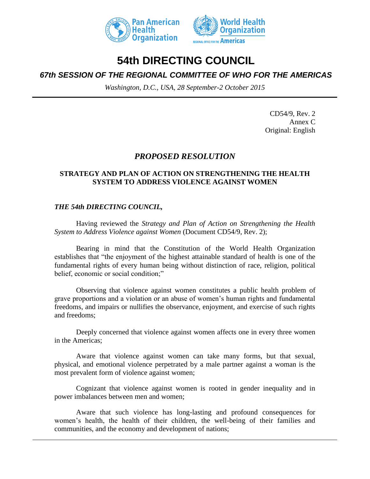



# **54th DIRECTING COUNCIL**

## *67th SESSION OF THE REGIONAL COMMITTEE OF WHO FOR THE AMERICAS*

*Washington, D.C., USA, 28 September-2 October 2015*

CD54/9, Rev. 2 Annex C Original: English

## *PROPOSED RESOLUTION*

## **STRATEGY AND PLAN OF ACTION ON STRENGTHENING THE HEALTH SYSTEM TO ADDRESS VIOLENCE AGAINST WOMEN**

## *THE 54th DIRECTING COUNCIL,*

Having reviewed the *Strategy and Plan of Action on Strengthening the Health System to Address Violence against Women* (Document CD54/9, Rev. 2);

Bearing in mind that the Constitution of the World Health Organization establishes that "the enjoyment of the highest attainable standard of health is one of the fundamental rights of every human being without distinction of race, religion, political belief, economic or social condition;"

Observing that violence against women constitutes a public health problem of grave proportions and a violation or an abuse of women's human rights and fundamental freedoms, and impairs or nullifies the observance, enjoyment, and exercise of such rights and freedoms;

Deeply concerned that violence against women affects one in every three women in the Americas;

Aware that violence against women can take many forms, but that sexual, physical, and emotional violence perpetrated by a male partner against a woman is the most prevalent form of violence against women;

Cognizant that violence against women is rooted in gender inequality and in power imbalances between men and women;

Aware that such violence has long-lasting and profound consequences for women's health, the health of their children, the well-being of their families and communities, and the economy and development of nations;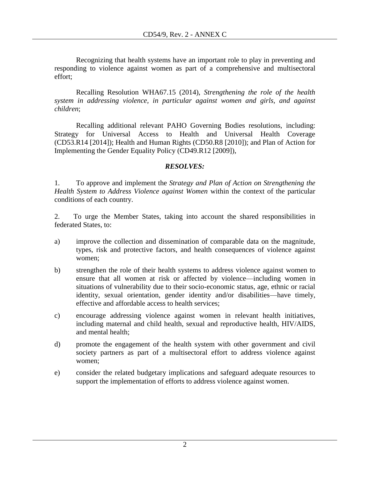Recognizing that health systems have an important role to play in preventing and responding to violence against women as part of a comprehensive and multisectoral effort;

Recalling Resolution WHA67.15 (2014), *Strengthening the role of the health system in addressing violence, in particular against women and girls, and against children*;

Recalling additional relevant PAHO Governing Bodies resolutions, including: Strategy for Universal Access to Health and Universal Health Coverage (CD53.R14 [2014]); Health and Human Rights (CD50.R8 [2010]); and Plan of Action for Implementing the Gender Equality Policy (CD49.R12 [2009]),

## *RESOLVES:*

1. To approve and implement the *Strategy and Plan of Action on Strengthening the Health System to Address Violence against Women* within the context of the particular conditions of each country.

2. To urge the Member States, taking into account the shared responsibilities in federated States, to:

- a) improve the collection and dissemination of comparable data on the magnitude, types, risk and protective factors, and health consequences of violence against women;
- b) strengthen the role of their health systems to address violence against women to ensure that all women at risk or affected by violence—including women in situations of vulnerability due to their socio-economic status, age, ethnic or racial identity, sexual orientation, gender identity and/or disabilities—have timely, effective and affordable access to health services;
- c) encourage addressing violence against women in relevant health initiatives, including maternal and child health, sexual and reproductive health, HIV/AIDS, and mental health;
- d) promote the engagement of the health system with other government and civil society partners as part of a multisectoral effort to address violence against women;
- e) consider the related budgetary implications and safeguard adequate resources to support the implementation of efforts to address violence against women.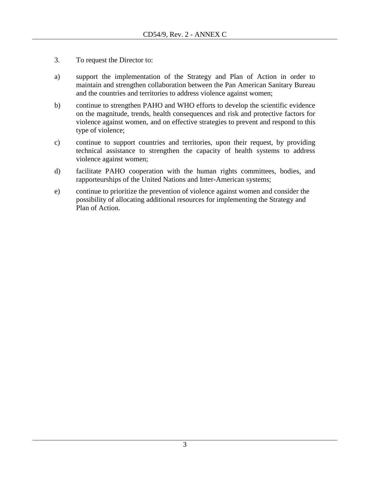- 3. To request the Director to:
- a) support the implementation of the Strategy and Plan of Action in order to maintain and strengthen collaboration between the Pan American Sanitary Bureau and the countries and territories to address violence against women;
- b) continue to strengthen PAHO and WHO efforts to develop the scientific evidence on the magnitude, trends, health consequences and risk and protective factors for violence against women, and on effective strategies to prevent and respond to this type of violence;
- c) continue to support countries and territories, upon their request, by providing technical assistance to strengthen the capacity of health systems to address violence against women;
- d) facilitate PAHO cooperation with the human rights committees, bodies, and rapporteurships of the United Nations and Inter-American systems;
- e) continue to prioritize the prevention of violence against women and consider the possibility of allocating additional resources for implementing the Strategy and Plan of Action.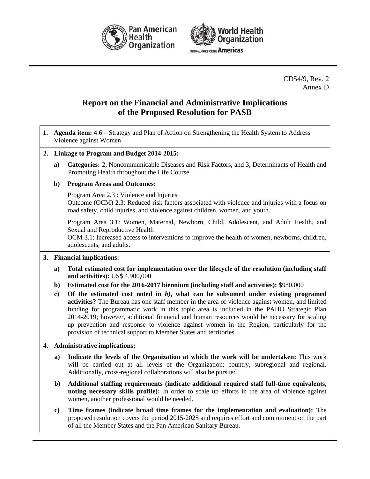



CD54/9, Rev. 2 Annex D

## **Report on the Financial and Administrative Implications of the Proposed Resolution for PASB**

- **1. Agenda item:** 4.6 Strategy and Plan of Action on Strengthening the Health System to Address Violence against Women
- **2. Linkage to Program and Budget 2014-2015:**
	- **a) Categories:** 2, Noncommunicable Diseases and Risk Factors, and 3, Determinants of Health and Promoting Health throughout the Life Course

#### **b) Program Areas and Outcomes:**

Program Area 2.3 : Violence and Injuries

Outcome (OCM) 2.3: Reduced risk factors associated with violence and injuries with a focus on road safety, child injuries, and violence against children, women, and youth.

Program Area 3.1: Women, Maternal, Newborn, Child, Adolescent, and Adult Health, and Sexual and Reproductive Health

OCM 3.1: Increased access to interventions to improve the health of women, newborns, children, adolescents, and adults.

- **3. Financial implications:**
	- **a) Total estimated cost for implementation over the lifecycle of the resolution (including staff and activities):** US\$ 4,900,000
	- **b) Estimated cost for the 2016-2017 biennium (including staff and activities):** \$980,000
	- **c) Of the estimated cost noted in** *b)***, what can be subsumed under existing programed activities?** The Bureau has one staff member in the area of violence against women, and limited funding for programmatic work in this topic area is included in the PAHO Strategic Plan 2014-2019; however, additional financial and human resources would be necessary for scaling up prevention and response to violence against women in the Region, particularly for the provision of technical support to Member States and territories.

#### **4. Administrative implications:**

- **a) Indicate the levels of the Organization at which the work will be undertaken:** This work will be carried out at all levels of the Organization: country, subregional and regional. Additionally, cross-regional collaborations will also be pursued.
- **b) Additional staffing requirements (indicate additional required staff full-time equivalents, noting necessary skills profile):** In order to scale up efforts in the area of violence against women, another professional would be needed.
- **c) Time frames (indicate broad time frames for the implementation and evaluation):** The proposed resolution covers the period 2015-2025 and requires effort and commitment on the part of all the Member States and the Pan American Sanitary Bureau.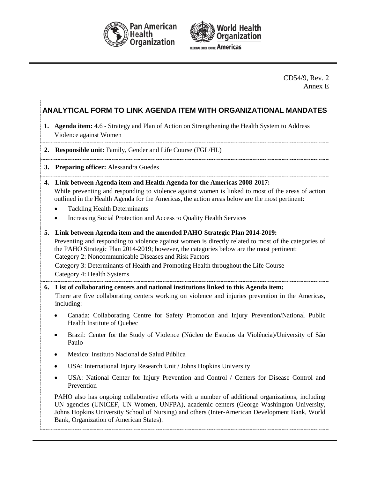



CD54/9, Rev. 2 Annex E

## **ANALYTICAL FORM TO LINK AGENDA ITEM WITH ORGANIZATIONAL MANDATES**

- **1. Agenda item:** 4.6 Strategy and Plan of Action on Strengthening the Health System to Address Violence against Women
- **2. Responsible unit:** Family, Gender and Life Course (FGL/HL)
- **3. Preparing officer:** Alessandra Guedes
- **4. Link between Agenda item and Health Agenda for the Americas 2008-2017:** While preventing and responding to violence against women is linked to most of the areas of action outlined in the Health Agenda for the Americas, the action areas below are the most pertinent:
	- Tackling Health Determinants
	- Increasing Social Protection and Access to Quality Health Services
- **5. Link between Agenda item and the amended PAHO Strategic Plan 2014-2019:** Preventing and responding to violence against women is directly related to most of the categories of the PAHO Strategic Plan 2014-2019; however, the categories below are the most pertinent: Category 2: Noncommunicable Diseases and Risk Factors Category 3: Determinants of Health and Promoting Health throughout the Life Course

Category 4: Health Systems

#### **6. List of collaborating centers and national institutions linked to this Agenda item:**

There are five collaborating centers working on violence and injuries prevention in the Americas, including:

- Canada: Collaborating Centre for Safety Promotion and Injury Prevention/National Public Health Institute of Quebec
- Brazil: Center for the Study of Violence (Núcleo de Estudos da Violência)/University of São Paulo
- Mexico: Instituto Nacional de Salud Pública
- USA: International Injury Research Unit / Johns Hopkins University
- USA: National Center for Injury Prevention and Control / Centers for Disease Control and Prevention

PAHO also has ongoing collaborative efforts with a number of additional organizations, including UN agencies (UNICEF, UN Women, UNFPA), academic centers (George Washington University, Johns Hopkins University School of Nursing) and others (Inter-American Development Bank, World Bank, Organization of American States).